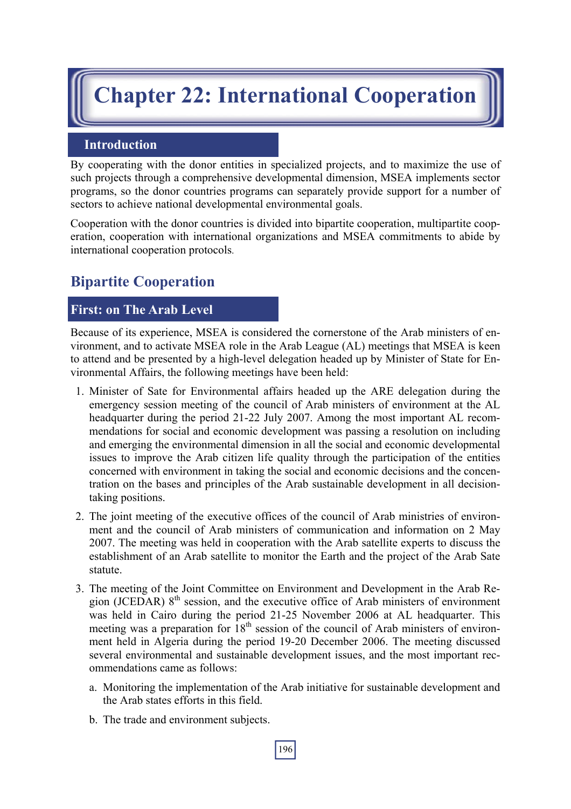# **Chapter 22: International Cooperation**

## **Introduction**

By cooperating with the donor entities in specialized projects, and to maximize the use of such projects through a comprehensive developmental dimension, MSEA implements sector programs, so the donor countries programs can separately provide support for a number of sectors to achieve national developmental environmental goals.

Cooperation with the donor countries is divided into bipartite cooperation, multipartite cooperation, cooperation with international organizations and MSEA commitments to abide by international cooperation protocols.

## **Bipartite Cooperation**

## **First: on The Arab Level**

Because of its experience, MSEA is considered the cornerstone of the Arab ministers of environment, and to activate MSEA role in the Arab League (AL) meetings that MSEA is keen to attend and be presented by a high-level delegation headed up by Minister of State for Environmental Affairs, the following meetings have been held:

- 1. Minister of Sate for Environmental affairs headed up the ARE delegation during the emergency session meeting of the council of Arab ministers of environment at the AL headquarter during the period 21-22 July 2007. Among the most important AL recommendations for social and economic development was passing a resolution on including and emerging the environmental dimension in all the social and economic developmental issues to improve the Arab citizen life quality through the participation of the entities concerned with environment in taking the social and economic decisions and the concentration on the bases and principles of the Arab sustainable development in all decisiontaking positions.
- 2. The joint meeting of the executive offices of the council of Arab ministries of environment and the council of Arab ministers of communication and information on 2 May 2007. The meeting was held in cooperation with the Arab satellite experts to discuss the establishment of an Arab satellite to monitor the Earth and the project of the Arab Sate statute.
- 3. The meeting of the Joint Committee on Environment and Development in the Arab Region (JCEDAR) 8<sup>th</sup> session, and the executive office of Arab ministers of environment was held in Cairo during the period 21-25 November 2006 at AL headquarter. This meeting was a preparation for  $18<sup>th</sup>$  session of the council of Arab ministers of environment held in Algeria during the period 19-20 December 2006. The meeting discussed several environmental and sustainable development issues, and the most important recommendations came as follows:
	- a. Monitoring the implementation of the Arab initiative for sustainable development and the Arab states efforts in this field.
	- b. The trade and environment subjects.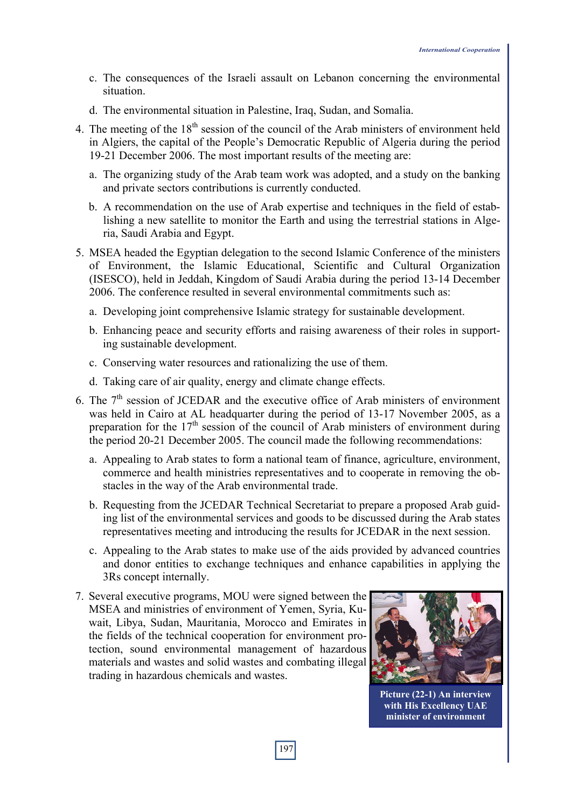- c. The consequences of the Israeli assault on Lebanon concerning the environmental situation.
- d. The environmental situation in Palestine, Iraq, Sudan, and Somalia.
- 4. The meeting of the  $18<sup>th</sup>$  session of the council of the Arab ministers of environment held in Algiers, the capital of the People's Democratic Republic of Algeria during the period 19-21 December 2006. The most important results of the meeting are:
	- a. The organizing study of the Arab team work was adopted, and a study on the banking and private sectors contributions is currently conducted.
	- b. A recommendation on the use of Arab expertise and techniques in the field of establishing a new satellite to monitor the Earth and using the terrestrial stations in Algeria, Saudi Arabia and Egypt.
- 5. MSEA headed the Egyptian delegation to the second Islamic Conference of the ministers of Environment, the Islamic Educational, Scientific and Cultural Organization (ISESCO), held in Jeddah, Kingdom of Saudi Arabia during the period 13-14 December 2006. The conference resulted in several environmental commitments such as:
	- a. Developing joint comprehensive Islamic strategy for sustainable development.
	- b. Enhancing peace and security efforts and raising awareness of their roles in supporting sustainable development.
	- c. Conserving water resources and rationalizing the use of them.
	- d. Taking care of air quality, energy and climate change effects.
- 6. The  $7<sup>th</sup>$  session of JCEDAR and the executive office of Arab ministers of environment was held in Cairo at AL headquarter during the period of 13-17 November 2005, as a preparation for the  $17<sup>th</sup>$  session of the council of Arab ministers of environment during the period 20-21 December 2005. The council made the following recommendations:
	- a. Appealing to Arab states to form a national team of finance, agriculture, environment, commerce and health ministries representatives and to cooperate in removing the obstacles in the way of the Arab environmental trade.
	- b. Requesting from the JCEDAR Technical Secretariat to prepare a proposed Arab guiding list of the environmental services and goods to be discussed during the Arab states representatives meeting and introducing the results for JCEDAR in the next session.
	- c. Appealing to the Arab states to make use of the aids provided by advanced countries and donor entities to exchange techniques and enhance capabilities in applying the 3Rs concept internally.
- 7. Several executive programs, MOU were signed between the MSEA and ministries of environment of Yemen, Syria, Kuwait, Libya, Sudan, Mauritania, Morocco and Emirates in the fields of the technical cooperation for environment protection, sound environmental management of hazardous materials and wastes and solid wastes and combating illegal trading in hazardous chemicals and wastes.



**Picture (22-1) An interview with His Excellency UAE minister of environment**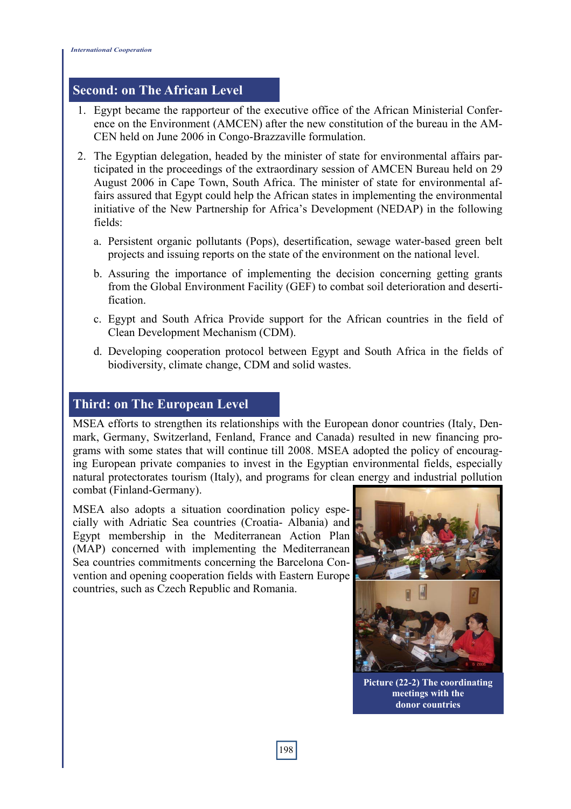#### **Second: on The African Level**

- 1. Egypt became the rapporteur of the executive office of the African Ministerial Conference on the Environment (AMCEN) after the new constitution of the bureau in the AM-CEN held on June 2006 in Congo-Brazzaville formulation.
- 2. The Egyptian delegation, headed by the minister of state for environmental affairs participated in the proceedings of the extraordinary session of AMCEN Bureau held on 29 August 2006 in Cape Town, South Africa. The minister of state for environmental affairs assured that Egypt could help the African states in implementing the environmental initiative of the New Partnership for Africa's Development (NEDAP) in the following fields:
	- a. Persistent organic pollutants (Pops), desertification, sewage water-based green belt projects and issuing reports on the state of the environment on the national level.
	- b. Assuring the importance of implementing the decision concerning getting grants from the Global Environment Facility (GEF) to combat soil deterioration and desertification.
	- c. Egypt and South Africa Provide support for the African countries in the field of Clean Development Mechanism (CDM).
	- d. Developing cooperation protocol between Egypt and South Africa in the fields of biodiversity, climate change, CDM and solid wastes.

## **Third: on The European Level**

MSEA efforts to strengthen its relationships with the European donor countries (Italy, Denmark, Germany, Switzerland, Fenland, France and Canada) resulted in new financing programs with some states that will continue till 2008. MSEA adopted the policy of encouraging European private companies to invest in the Egyptian environmental fields, especially natural protectorates tourism (Italy), and programs for clean energy and industrial pollution combat (Finland-Germany).

MSEA also adopts a situation coordination policy especially with Adriatic Sea countries (Croatia- Albania) and Egypt membership in the Mediterranean Action Plan (MAP) concerned with implementing the Mediterranean Sea countries commitments concerning the Barcelona Convention and opening cooperation fields with Eastern Europe countries, such as Czech Republic and Romania.



**Picture (22-2) The coordinating meetings with the donor countries**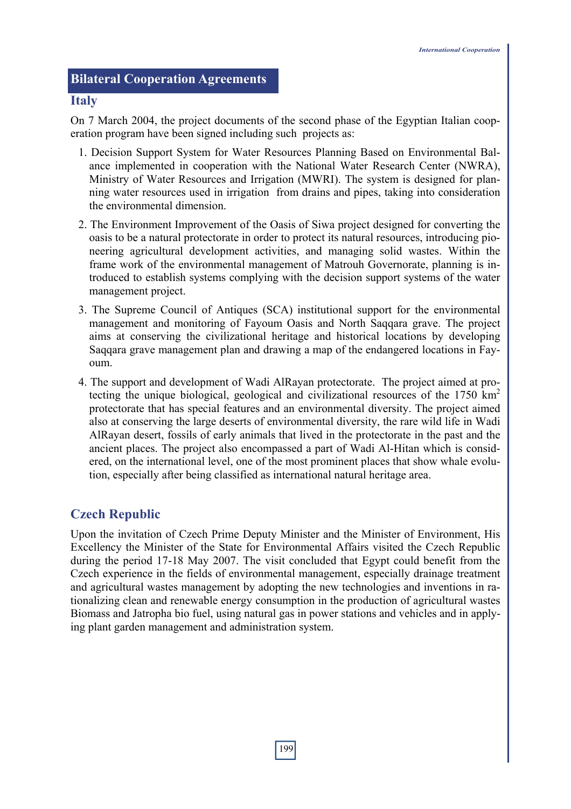## **Bilateral Cooperation Agreements**

#### **Italy**

On 7 March 2004, the project documents of the second phase of the Egyptian Italian cooperation program have been signed including such projects as:

- 1. Decision Support System for Water Resources Planning Based on Environmental Balance implemented in cooperation with the National Water Research Center (NWRA), Ministry of Water Resources and Irrigation (MWRI). The system is designed for planning water resources used in irrigation from drains and pipes, taking into consideration the environmental dimension.
- 2. The Environment Improvement of the Oasis of Siwa project designed for converting the oasis to be a natural protectorate in order to protect its natural resources, introducing pioneering agricultural development activities, and managing solid wastes. Within the frame work of the environmental management of Matrouh Governorate, planning is introduced to establish systems complying with the decision support systems of the water management project.
- 3. The Supreme Council of Antiques (SCA) institutional support for the environmental management and monitoring of Fayoum Oasis and North Saqqara grave. The project aims at conserving the civilizational heritage and historical locations by developing Saqqara grave management plan and drawing a map of the endangered locations in Fayoum.
- 4. The support and development of Wadi AlRayan protectorate. The project aimed at protecting the unique biological, geological and civilizational resources of the 1750  $km<sup>2</sup>$ protectorate that has special features and an environmental diversity. The project aimed also at conserving the large deserts of environmental diversity, the rare wild life in Wadi AlRayan desert, fossils of early animals that lived in the protectorate in the past and the ancient places. The project also encompassed a part of Wadi Al-Hitan which is considered, on the international level, one of the most prominent places that show whale evolution, especially after being classified as international natural heritage area.

## **Czech Republic**

Upon the invitation of Czech Prime Deputy Minister and the Minister of Environment, His Excellency the Minister of the State for Environmental Affairs visited the Czech Republic during the period 17-18 May 2007. The visit concluded that Egypt could benefit from the Czech experience in the fields of environmental management, especially drainage treatment and agricultural wastes management by adopting the new technologies and inventions in rationalizing clean and renewable energy consumption in the production of agricultural wastes Biomass and Jatropha bio fuel, using natural gas in power stations and vehicles and in applying plant garden management and administration system.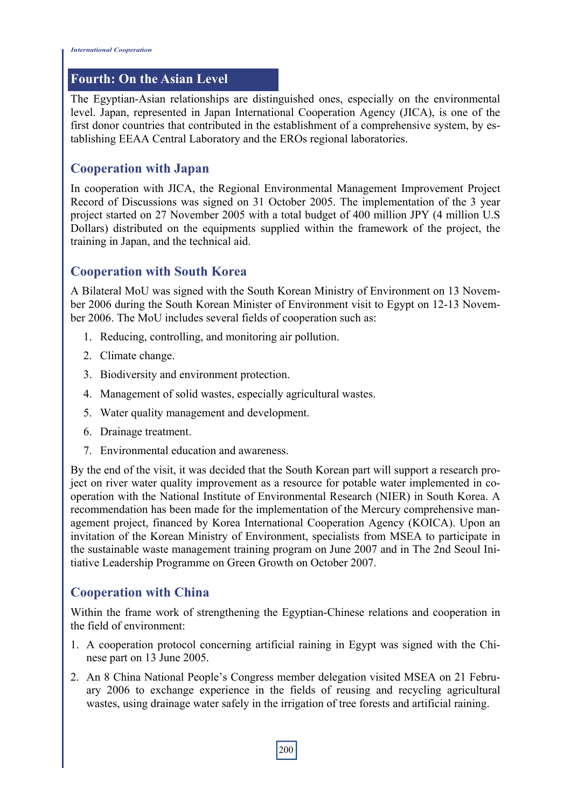## **Fourth: On the Asian Level**

The Egyptian-Asian relationships are distinguished ones, especially on the environmental level. Japan, represented in Japan International Cooperation Agency (JICA), is one of the first donor countries that contributed in the establishment of a comprehensive system, by establishing EEAA Central Laboratory and the EROs regional laboratories.

## **Cooperation with Japan**

In cooperation with JICA, the Regional Environmental Management Improvement Project Record of Discussions was signed on 31 October 2005. The implementation of the 3 year project started on 27 November 2005 with a total budget of 400 million JPY (4 million U.S Dollars) distributed on the equipments supplied within the framework of the project, the training in Japan, and the technical aid.

## **Cooperation with South Korea**

A Bilateral MoU was signed with the South Korean Ministry of Environment on 13 November 2006 during the South Korean Minister of Environment visit to Egypt on 12-13 November 2006. The MoU includes several fields of cooperation such as:

- 1. Reducing, controlling, and monitoring air pollution.
- 2. Climate change.
- 3. Biodiversity and environment protection.
- 4. Management of solid wastes, especially agricultural wastes.
- 5. Water quality management and development.
- 6. Drainage treatment.
- 7. Environmental education and awareness.

By the end of the visit, it was decided that the South Korean part will support a research project on river water quality improvement as a resource for potable water implemented in cooperation with the National Institute of Environmental Research (NIER) in South Korea. A recommendation has been made for the implementation of the Mercury comprehensive management project, financed by Korea International Cooperation Agency (KOICA). Upon an invitation of the Korean Ministry of Environment, specialists from MSEA to participate in the sustainable waste management training program on June 2007 and in The 2nd Seoul Initiative Leadership Programme on Green Growth on October 2007.

## **Cooperation with China**

Within the frame work of strengthening the Egyptian-Chinese relations and cooperation in the field of environment:

- 1. A cooperation protocol concerning artificial raining in Egypt was signed with the Chinese part on 13 June 2005.
- 2. An 8 China National People's Congress member delegation visited MSEA on 21 February 2006 to exchange experience in the fields of reusing and recycling agricultural wastes, using drainage water safely in the irrigation of tree forests and artificial raining.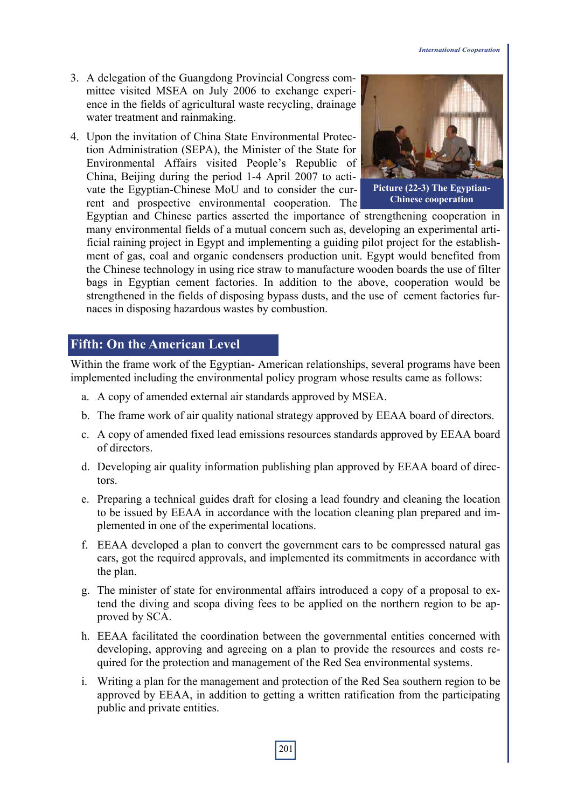- 3. A delegation of the Guangdong Provincial Congress committee visited MSEA on July 2006 to exchange experience in the fields of agricultural waste recycling, drainage water treatment and rainmaking.
- 4. Upon the invitation of China State Environmental Protection Administration (SEPA), the Minister of the State for Environmental Affairs visited People's Republic of China, Beijing during the period 1-4 April 2007 to activate the Egyptian-Chinese MoU and to consider the current and prospective environmental cooperation. The



**Picture (22-3) The Egyptian-Chinese cooperation**

Egyptian and Chinese parties asserted the importance of strengthening cooperation in many environmental fields of a mutual concern such as, developing an experimental artificial raining project in Egypt and implementing a guiding pilot project for the establishment of gas, coal and organic condensers production unit. Egypt would benefited from the Chinese technology in using rice straw to manufacture wooden boards the use of filter bags in Egyptian cement factories. In addition to the above, cooperation would be strengthened in the fields of disposing bypass dusts, and the use of cement factories furnaces in disposing hazardous wastes by combustion.

## **Fifth: On the American Level**

Within the frame work of the Egyptian- American relationships, several programs have been implemented including the environmental policy program whose results came as follows:

- a. A copy of amended external air standards approved by MSEA.
- b. The frame work of air quality national strategy approved by EEAA board of directors.
- c. A copy of amended fixed lead emissions resources standards approved by EEAA board of directors.
- d. Developing air quality information publishing plan approved by EEAA board of directors.
- e. Preparing a technical guides draft for closing a lead foundry and cleaning the location to be issued by EEAA in accordance with the location cleaning plan prepared and implemented in one of the experimental locations.
- f. EEAA developed a plan to convert the government cars to be compressed natural gas cars, got the required approvals, and implemented its commitments in accordance with the plan.
- g. The minister of state for environmental affairs introduced a copy of a proposal to extend the diving and scopa diving fees to be applied on the northern region to be approved by SCA.
- h. EEAA facilitated the coordination between the governmental entities concerned with developing, approving and agreeing on a plan to provide the resources and costs required for the protection and management of the Red Sea environmental systems.
- i. Writing a plan for the management and protection of the Red Sea southern region to be approved by EEAA, in addition to getting a written ratification from the participating public and private entities.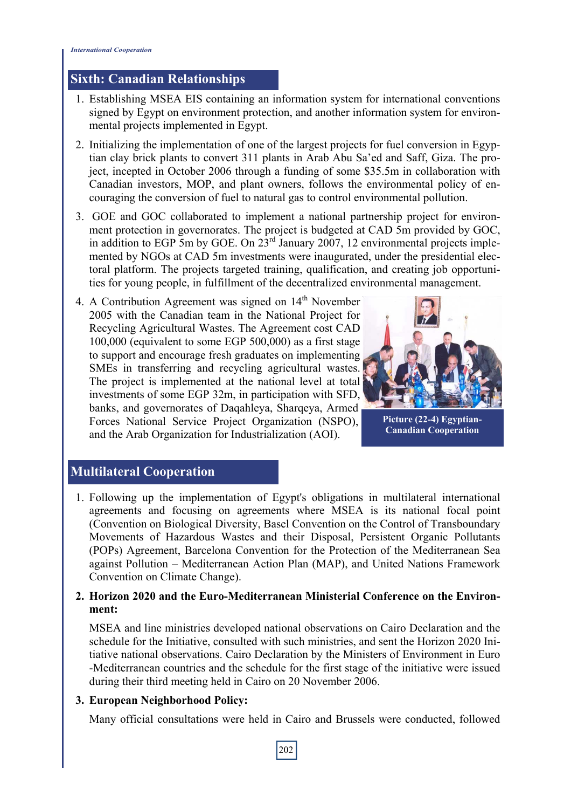## **Sixth: Canadian Relationships**

- 1. Establishing MSEA EIS containing an information system for international conventions signed by Egypt on environment protection, and another information system for environmental projects implemented in Egypt.
- 2. Initializing the implementation of one of the largest projects for fuel conversion in Egyptian clay brick plants to convert 311 plants in Arab Abu Sa'ed and Saff, Giza. The project, incepted in October 2006 through a funding of some \$35.5m in collaboration with Canadian investors, MOP, and plant owners, follows the environmental policy of encouraging the conversion of fuel to natural gas to control environmental pollution.
- 3. GOE and GOC collaborated to implement a national partnership project for environment protection in governorates. The project is budgeted at CAD 5m provided by GOC, in addition to EGP 5m by GOE. On 23rd January 2007, 12 environmental projects implemented by NGOs at CAD 5m investments were inaugurated, under the presidential electoral platform. The projects targeted training, qualification, and creating job opportunities for young people, in fulfillment of the decentralized environmental management.
- 4. A Contribution Agreement was signed on  $14<sup>th</sup>$  November 2005 with the Canadian team in the National Project for Recycling Agricultural Wastes. The Agreement cost CAD 100,000 (equivalent to some EGP 500,000) as a first stage to support and encourage fresh graduates on implementing SMEs in transferring and recycling agricultural wastes. The project is implemented at the national level at total investments of some EGP 32m, in participation with SFD, banks, and governorates of Daqahleya, Sharqeya, Armed Forces National Service Project Organization (NSPO), and the Arab Organization for Industrialization (AOI).



**Picture (22-4) Egyptian-Canadian Cooperation** 

## **Multilateral Cooperation**

1. Following up the implementation of Egypt's obligations in multilateral international agreements and focusing on agreements where MSEA is its national focal point (Convention on Biological Diversity, Basel Convention on the Control of Transboundary Movements of Hazardous Wastes and their Disposal, Persistent Organic Pollutants (POPs) Agreement, Barcelona Convention for the Protection of the Mediterranean Sea against Pollution – Mediterranean Action Plan (MAP), and United Nations Framework Convention on Climate Change).

#### **2. Horizon 2020 and the Euro-Mediterranean Ministerial Conference on the Environment:**

MSEA and line ministries developed national observations on Cairo Declaration and the schedule for the Initiative, consulted with such ministries, and sent the Horizon 2020 Initiative national observations. Cairo Declaration by the Ministers of Environment in Euro -Mediterranean countries and the schedule for the first stage of the initiative were issued during their third meeting held in Cairo on 20 November 2006.

#### **3. European Neighborhood Policy:**

Many official consultations were held in Cairo and Brussels were conducted, followed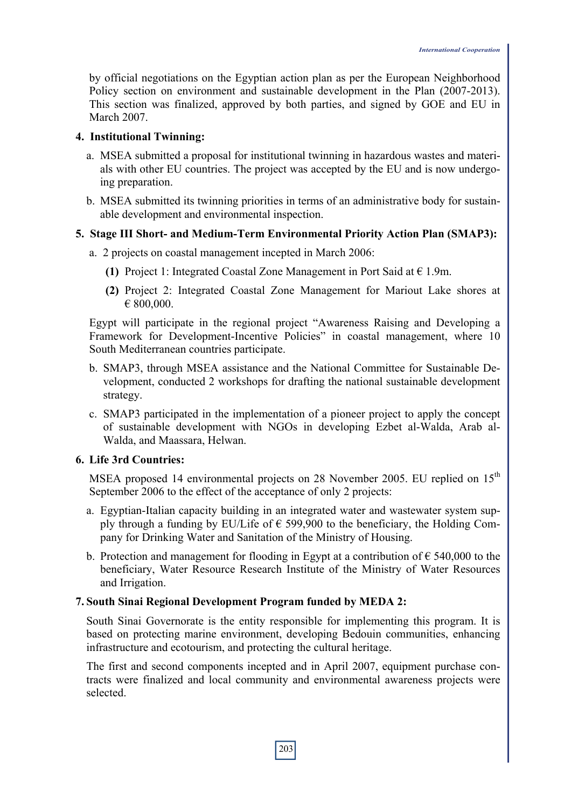by official negotiations on the Egyptian action plan as per the European Neighborhood Policy section on environment and sustainable development in the Plan (2007-2013). This section was finalized, approved by both parties, and signed by GOE and EU in March 2007.

#### **4. Institutional Twinning:**

- a. MSEA submitted a proposal for institutional twinning in hazardous wastes and materials with other EU countries. The project was accepted by the EU and is now undergoing preparation.
- b. MSEA submitted its twinning priorities in terms of an administrative body for sustainable development and environmental inspection.

#### **5. Stage III Short- and Medium-Term Environmental Priority Action Plan (SMAP3):**

- a. 2 projects on coastal management incepted in March 2006:
	- **(1)** Project 1: Integrated Coastal Zone Management in Port Said at  $\epsilon$  1.9m.
	- **(2)** Project 2: Integrated Coastal Zone Management for Mariout Lake shores at € 800,000.

Egypt will participate in the regional project "Awareness Raising and Developing a Framework for Development-Incentive Policies" in coastal management, where 10 South Mediterranean countries participate.

- b. SMAP3, through MSEA assistance and the National Committee for Sustainable Development, conducted 2 workshops for drafting the national sustainable development strategy.
- c. SMAP3 participated in the implementation of a pioneer project to apply the concept of sustainable development with NGOs in developing Ezbet al-Walda, Arab al-Walda, and Maassara, Helwan.

#### **6. Life 3rd Countries:**

MSEA proposed 14 environmental projects on 28 November 2005. EU replied on 15<sup>th</sup> September 2006 to the effect of the acceptance of only 2 projects:

- a. Egyptian-Italian capacity building in an integrated water and wastewater system supply through a funding by EU/Life of  $\epsilon$  599,900 to the beneficiary, the Holding Company for Drinking Water and Sanitation of the Ministry of Housing.
- b. Protection and management for flooding in Egypt at a contribution of  $\epsilon$  540,000 to the beneficiary, Water Resource Research Institute of the Ministry of Water Resources and Irrigation.

#### **7. South Sinai Regional Development Program funded by MEDA 2:**

South Sinai Governorate is the entity responsible for implementing this program. It is based on protecting marine environment, developing Bedouin communities, enhancing infrastructure and ecotourism, and protecting the cultural heritage.

The first and second components incepted and in April 2007, equipment purchase contracts were finalized and local community and environmental awareness projects were selected.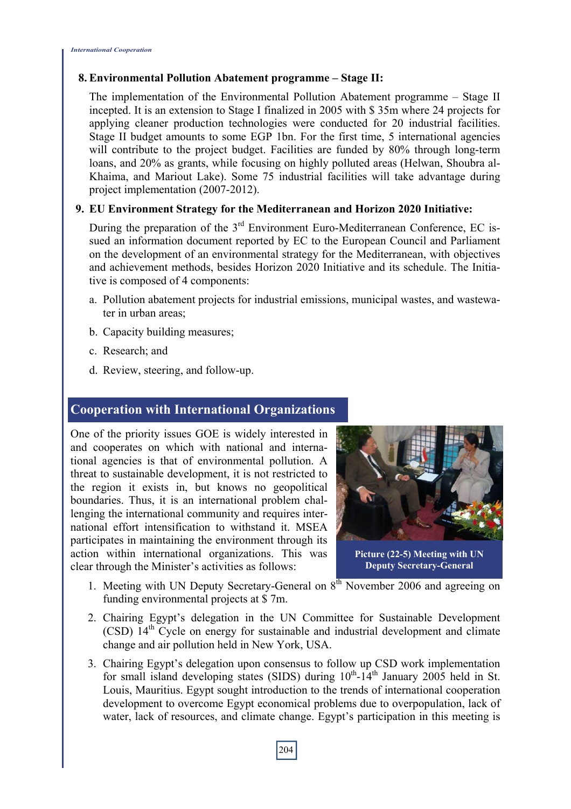#### **8. Environmental Pollution Abatement programme – Stage II:**

The implementation of the Environmental Pollution Abatement programme – Stage II incepted. It is an extension to Stage I finalized in 2005 with \$ 35m where 24 projects for applying cleaner production technologies were conducted for 20 industrial facilities. Stage II budget amounts to some EGP 1bn. For the first time, 5 international agencies will contribute to the project budget. Facilities are funded by 80% through long-term loans, and 20% as grants, while focusing on highly polluted areas (Helwan, Shoubra al-Khaima, and Mariout Lake). Some 75 industrial facilities will take advantage during project implementation (2007-2012).

#### **9. EU Environment Strategy for the Mediterranean and Horizon 2020 Initiative:**

During the preparation of the  $3<sup>rd</sup>$  Environment Euro-Mediterranean Conference, EC issued an information document reported by EC to the European Council and Parliament on the development of an environmental strategy for the Mediterranean, with objectives and achievement methods, besides Horizon 2020 Initiative and its schedule. The Initiative is composed of 4 components:

- a. Pollution abatement projects for industrial emissions, municipal wastes, and wastewater in urban areas;
- b. Capacity building measures;
- c. Research; and
- d. Review, steering, and follow-up.

#### **Cooperation with International Organizations**

One of the priority issues GOE is widely interested in and cooperates on which with national and international agencies is that of environmental pollution. A threat to sustainable development, it is not restricted to the region it exists in, but knows no geopolitical boundaries. Thus, it is an international problem challenging the international community and requires international effort intensification to withstand it. MSEA participates in maintaining the environment through its action within international organizations. This was clear through the Minister's activities as follows:



**Picture (22-5) Meeting with UN Deputy Secretary-General** 

- 1. Meeting with UN Deputy Secretary-General on  $8<sup>th</sup>$  November 2006 and agreeing on funding environmental projects at \$ 7m.
- 2. Chairing Egypt's delegation in the UN Committee for Sustainable Development (CSD) 14th Cycle on energy for sustainable and industrial development and climate change and air pollution held in New York, USA.
- 3. Chairing Egypt's delegation upon consensus to follow up CSD work implementation for small island developing states (SIDS) during  $10^{th}$ -14<sup>th</sup> January 2005 held in St. Louis, Mauritius. Egypt sought introduction to the trends of international cooperation development to overcome Egypt economical problems due to overpopulation, lack of water, lack of resources, and climate change. Egypt's participation in this meeting is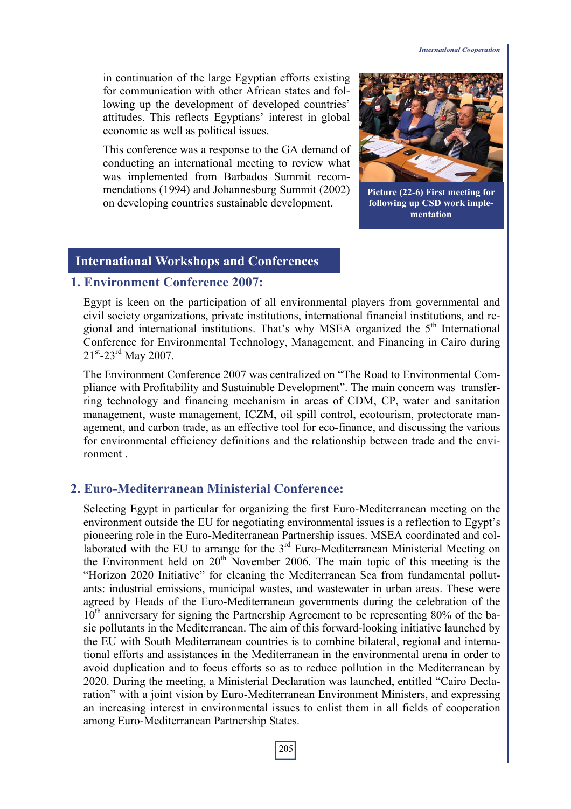in continuation of the large Egyptian efforts existing for communication with other African states and following up the development of developed countries' attitudes. This reflects Egyptians' interest in global economic as well as political issues.

This conference was a response to the GA demand of conducting an international meeting to review what was implemented from Barbados Summit recommendations (1994) and Johannesburg Summit (2002) on developing countries sustainable development.



**Picture (22-6) First meeting for following up CSD work implementation** 

#### **International Workshops and Conferences**

#### **1. Environment Conference 2007:**

Egypt is keen on the participation of all environmental players from governmental and civil society organizations, private institutions, international financial institutions, and regional and international institutions. That's why MSEA organized the  $5<sup>th</sup>$  International Conference for Environmental Technology, Management, and Financing in Cairo during  $21^{st}$ -23<sup>rd</sup> May 2007.

The Environment Conference 2007 was centralized on "The Road to Environmental Compliance with Profitability and Sustainable Development". The main concern was transferring technology and financing mechanism in areas of CDM, CP, water and sanitation management, waste management, ICZM, oil spill control, ecotourism, protectorate management, and carbon trade, as an effective tool for eco-finance, and discussing the various for environmental efficiency definitions and the relationship between trade and the environment

#### **2. Euro-Mediterranean Ministerial Conference:**

Selecting Egypt in particular for organizing the first Euro-Mediterranean meeting on the environment outside the EU for negotiating environmental issues is a reflection to Egypt's pioneering role in the Euro-Mediterranean Partnership issues. MSEA coordinated and collaborated with the EU to arrange for the  $3<sup>rd</sup>$  Euro-Mediterranean Ministerial Meeting on the Environment held on  $20<sup>th</sup>$  November 2006. The main topic of this meeting is the "Horizon 2020 Initiative" for cleaning the Mediterranean Sea from fundamental pollutants: industrial emissions, municipal wastes, and wastewater in urban areas. These were agreed by Heads of the Euro-Mediterranean governments during the celebration of the  $10<sup>th</sup>$  anniversary for signing the Partnership Agreement to be representing 80% of the basic pollutants in the Mediterranean. The aim of this forward-looking initiative launched by the EU with South Mediterranean countries is to combine bilateral, regional and international efforts and assistances in the Mediterranean in the environmental arena in order to avoid duplication and to focus efforts so as to reduce pollution in the Mediterranean by 2020. During the meeting, a Ministerial Declaration was launched, entitled "Cairo Declaration" with a joint vision by Euro-Mediterranean Environment Ministers, and expressing an increasing interest in environmental issues to enlist them in all fields of cooperation among Euro-Mediterranean Partnership States.